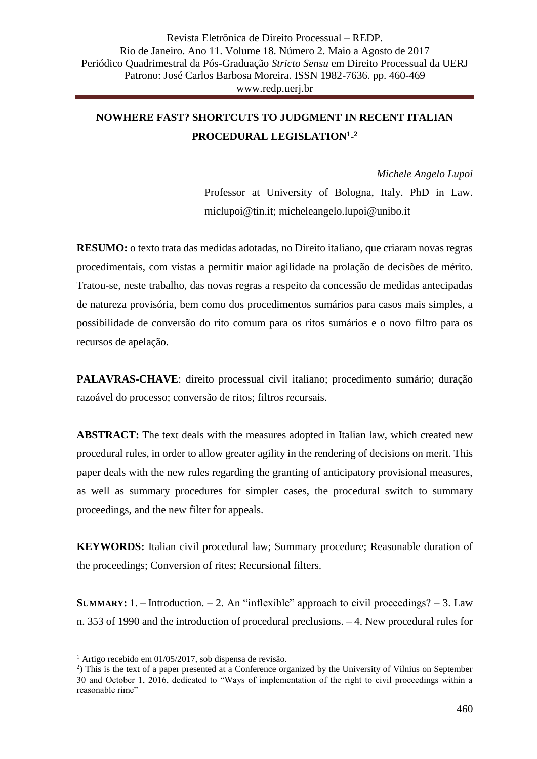## **NOWHERE FAST? SHORTCUTS TO JUDGMENT IN RECENT ITALIAN PROCEDURAL LEGISLATION<sup>1</sup> - 2**

*Michele Angelo Lupoi*

Professor at University of Bologna, Italy. PhD in Law. [miclupoi@tin.it;](mailto:miclupoi@tin.it) [micheleangelo.lupoi@unibo.it](mailto:micheleangelo.lupoi@unibo.it)

**RESUMO:** o texto trata das medidas adotadas, no Direito italiano, que criaram novas regras procedimentais, com vistas a permitir maior agilidade na prolação de decisões de mérito. Tratou-se, neste trabalho, das novas regras a respeito da concessão de medidas antecipadas de natureza provisória, bem como dos procedimentos sumários para casos mais simples, a possibilidade de conversão do rito comum para os ritos sumários e o novo filtro para os recursos de apelação.

**PALAVRAS-CHAVE**: direito processual civil italiano; procedimento sumário; duração razoável do processo; conversão de ritos; filtros recursais.

**ABSTRACT:** The text deals with the measures adopted in Italian law, which created new procedural rules, in order to allow greater agility in the rendering of decisions on merit. This paper deals with the new rules regarding the granting of anticipatory provisional measures, as well as summary procedures for simpler cases, the procedural switch to summary proceedings, and the new filter for appeals.

**KEYWORDS:** Italian civil procedural law; Summary procedure; Reasonable duration of the proceedings; Conversion of rites; Recursional filters.

**SUMMARY:** 1. – Introduction. – 2. An "inflexible" approach to civil proceedings? – 3. Law n. 353 of 1990 and the introduction of procedural preclusions. – 4. New procedural rules for

**.** 

 $1$  Artigo recebido em 01/05/2017, sob dispensa de revisão.

<sup>&</sup>lt;sup>2</sup>) This is the text of a paper presented at a Conference organized by the University of Vilnius on September 30 and October 1, 2016, dedicated to "Ways of implementation of the right to civil proceedings within a reasonable rime"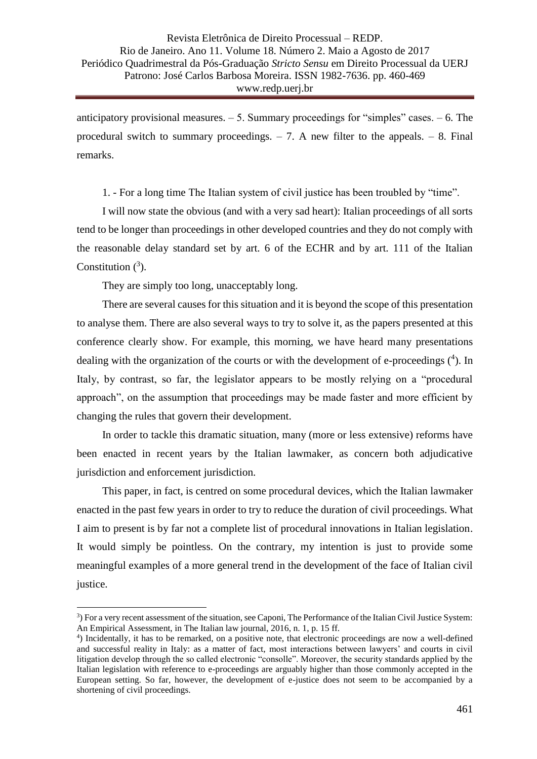anticipatory provisional measures.  $-5$ . Summary proceedings for "simples" cases.  $-6$ . The procedural switch to summary proceedings.  $-7$ . A new filter to the appeals.  $-8$ . Final remarks.

1. - For a long time The Italian system of civil justice has been troubled by "time".

I will now state the obvious (and with a very sad heart): Italian proceedings of all sorts tend to be longer than proceedings in other developed countries and they do not comply with the reasonable delay standard set by art. 6 of the ECHR and by art. 111 of the Italian Constitution  $(^3)$ .

They are simply too long, unacceptably long.

**.** 

There are several causes for this situation and it is beyond the scope of this presentation to analyse them. There are also several ways to try to solve it, as the papers presented at this conference clearly show. For example, this morning, we have heard many presentations dealing with the organization of the courts or with the development of e-proceedings  $(4)$ . In Italy, by contrast, so far, the legislator appears to be mostly relying on a "procedural approach", on the assumption that proceedings may be made faster and more efficient by changing the rules that govern their development.

In order to tackle this dramatic situation, many (more or less extensive) reforms have been enacted in recent years by the Italian lawmaker, as concern both adjudicative jurisdiction and enforcement jurisdiction.

This paper, in fact, is centred on some procedural devices, which the Italian lawmaker enacted in the past few years in order to try to reduce the duration of civil proceedings. What I aim to present is by far not a complete list of procedural innovations in Italian legislation. It would simply be pointless. On the contrary, my intention is just to provide some meaningful examples of a more general trend in the development of the face of Italian civil justice.

<sup>3</sup> ) For a very recent assessment of the situation, see Caponi, The Performance of the Italian Civil Justice System: An Empirical Assessment, in The Italian law journal, 2016, n. 1, p. 15 ff.

<sup>4</sup> ) Incidentally, it has to be remarked, on a positive note, that electronic proceedings are now a well-defined and successful reality in Italy: as a matter of fact, most interactions between lawyers' and courts in civil litigation develop through the so called electronic "consolle". Moreover, the security standards applied by the Italian legislation with reference to e-proceedings are arguably higher than those commonly accepted in the European setting. So far, however, the development of e-justice does not seem to be accompanied by a shortening of civil proceedings.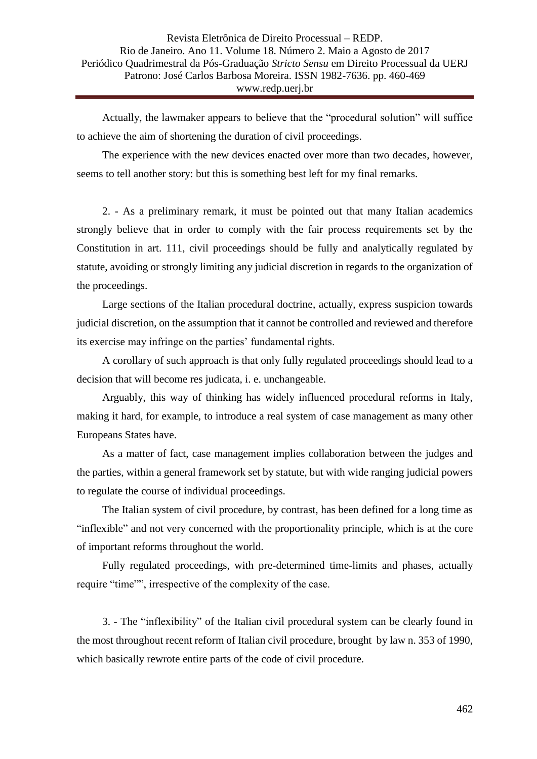Actually, the lawmaker appears to believe that the "procedural solution" will suffice to achieve the aim of shortening the duration of civil proceedings.

The experience with the new devices enacted over more than two decades, however, seems to tell another story: but this is something best left for my final remarks.

2. - As a preliminary remark, it must be pointed out that many Italian academics strongly believe that in order to comply with the fair process requirements set by the Constitution in art. 111, civil proceedings should be fully and analytically regulated by statute, avoiding or strongly limiting any judicial discretion in regards to the organization of the proceedings.

Large sections of the Italian procedural doctrine, actually, express suspicion towards judicial discretion, on the assumption that it cannot be controlled and reviewed and therefore its exercise may infringe on the parties' fundamental rights.

A corollary of such approach is that only fully regulated proceedings should lead to a decision that will become res judicata, i. e. unchangeable.

Arguably, this way of thinking has widely influenced procedural reforms in Italy, making it hard, for example, to introduce a real system of case management as many other Europeans States have.

As a matter of fact, case management implies collaboration between the judges and the parties, within a general framework set by statute, but with wide ranging judicial powers to regulate the course of individual proceedings.

The Italian system of civil procedure, by contrast, has been defined for a long time as "inflexible" and not very concerned with the proportionality principle, which is at the core of important reforms throughout the world.

Fully regulated proceedings, with pre-determined time-limits and phases, actually require "time"", irrespective of the complexity of the case.

3. - The "inflexibility" of the Italian civil procedural system can be clearly found in the most throughout recent reform of Italian civil procedure, brought by law n. 353 of 1990, which basically rewrote entire parts of the code of civil procedure.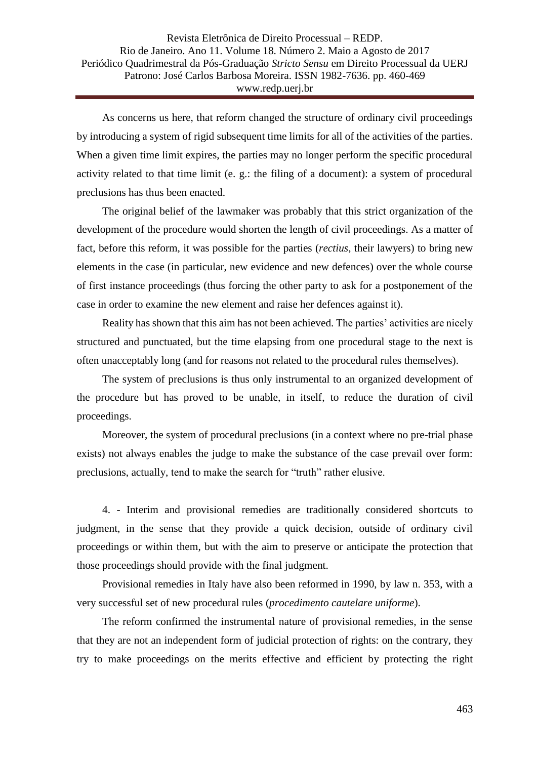Revista Eletrônica de Direito Processual – REDP. Rio de Janeiro. Ano 11. Volume 18. Número 2. Maio a Agosto de 2017 Periódico Quadrimestral da Pós-Graduação *Stricto Sensu* em Direito Processual da UERJ Patrono: José Carlos Barbosa Moreira. ISSN 1982-7636. pp. 460-469 www.redp.uerj.br

As concerns us here, that reform changed the structure of ordinary civil proceedings by introducing a system of rigid subsequent time limits for all of the activities of the parties. When a given time limit expires, the parties may no longer perform the specific procedural activity related to that time limit (e. g.: the filing of a document): a system of procedural preclusions has thus been enacted.

The original belief of the lawmaker was probably that this strict organization of the development of the procedure would shorten the length of civil proceedings. As a matter of fact, before this reform, it was possible for the parties (*rectius*, their lawyers) to bring new elements in the case (in particular, new evidence and new defences) over the whole course of first instance proceedings (thus forcing the other party to ask for a postponement of the case in order to examine the new element and raise her defences against it).

Reality has shown that this aim has not been achieved. The parties' activities are nicely structured and punctuated, but the time elapsing from one procedural stage to the next is often unacceptably long (and for reasons not related to the procedural rules themselves).

The system of preclusions is thus only instrumental to an organized development of the procedure but has proved to be unable, in itself, to reduce the duration of civil proceedings.

Moreover, the system of procedural preclusions (in a context where no pre-trial phase exists) not always enables the judge to make the substance of the case prevail over form: preclusions, actually, tend to make the search for "truth" rather elusive.

4. - Interim and provisional remedies are traditionally considered shortcuts to judgment, in the sense that they provide a quick decision, outside of ordinary civil proceedings or within them, but with the aim to preserve or anticipate the protection that those proceedings should provide with the final judgment.

Provisional remedies in Italy have also been reformed in 1990, by law n. 353, with a very successful set of new procedural rules (*procedimento cautelare uniforme*).

The reform confirmed the instrumental nature of provisional remedies, in the sense that they are not an independent form of judicial protection of rights: on the contrary, they try to make proceedings on the merits effective and efficient by protecting the right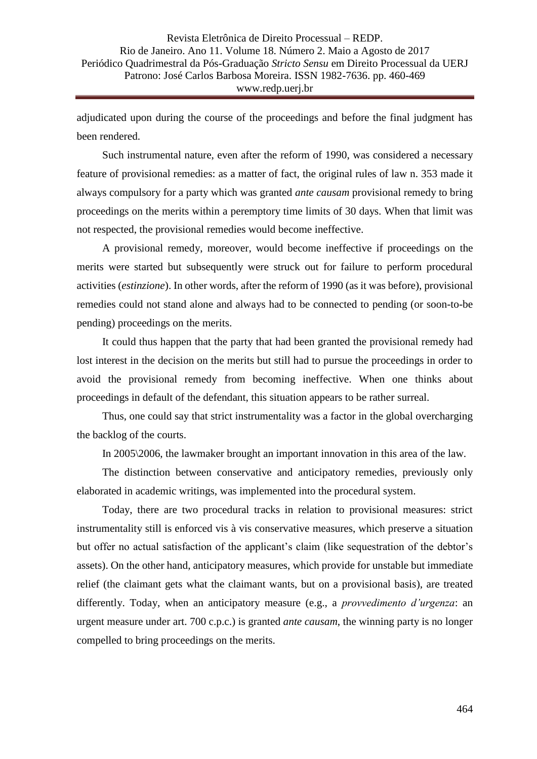adjudicated upon during the course of the proceedings and before the final judgment has been rendered.

Such instrumental nature, even after the reform of 1990, was considered a necessary feature of provisional remedies: as a matter of fact, the original rules of law n. 353 made it always compulsory for a party which was granted *ante causam* provisional remedy to bring proceedings on the merits within a peremptory time limits of 30 days. When that limit was not respected, the provisional remedies would become ineffective.

A provisional remedy, moreover, would become ineffective if proceedings on the merits were started but subsequently were struck out for failure to perform procedural activities (*estinzione*). In other words, after the reform of 1990 (as it was before), provisional remedies could not stand alone and always had to be connected to pending (or soon-to-be pending) proceedings on the merits.

It could thus happen that the party that had been granted the provisional remedy had lost interest in the decision on the merits but still had to pursue the proceedings in order to avoid the provisional remedy from becoming ineffective. When one thinks about proceedings in default of the defendant, this situation appears to be rather surreal.

Thus, one could say that strict instrumentality was a factor in the global overcharging the backlog of the courts.

In 2005\2006, the lawmaker brought an important innovation in this area of the law.

The distinction between conservative and anticipatory remedies, previously only elaborated in academic writings, was implemented into the procedural system.

Today, there are two procedural tracks in relation to provisional measures: strict instrumentality still is enforced vis à vis conservative measures, which preserve a situation but offer no actual satisfaction of the applicant's claim (like sequestration of the debtor's assets). On the other hand, anticipatory measures, which provide for unstable but immediate relief (the claimant gets what the claimant wants, but on a provisional basis), are treated differently. Today, when an anticipatory measure (e.g., a *provvedimento d'urgenza*: an urgent measure under art. 700 c.p.c.) is granted *ante causam*, the winning party is no longer compelled to bring proceedings on the merits.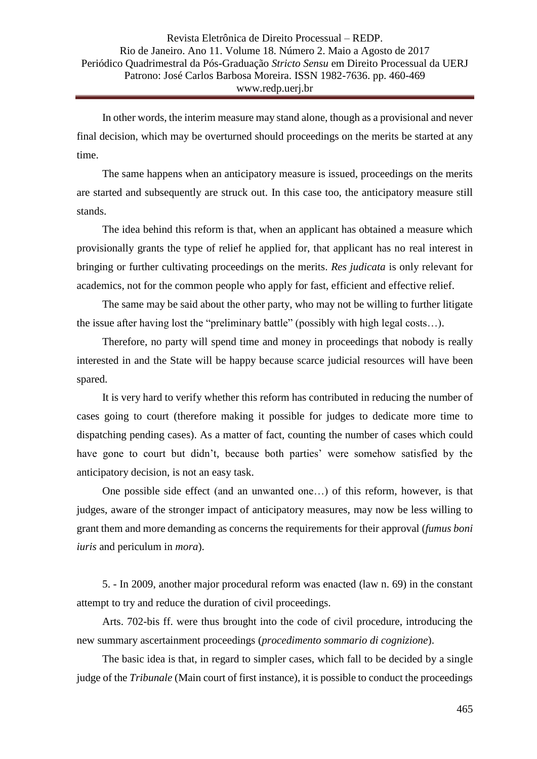In other words, the interim measure may stand alone, though as a provisional and never final decision, which may be overturned should proceedings on the merits be started at any time.

The same happens when an anticipatory measure is issued, proceedings on the merits are started and subsequently are struck out. In this case too, the anticipatory measure still stands.

The idea behind this reform is that, when an applicant has obtained a measure which provisionally grants the type of relief he applied for, that applicant has no real interest in bringing or further cultivating proceedings on the merits. *Res judicata* is only relevant for academics, not for the common people who apply for fast, efficient and effective relief.

The same may be said about the other party, who may not be willing to further litigate the issue after having lost the "preliminary battle" (possibly with high legal costs…).

Therefore, no party will spend time and money in proceedings that nobody is really interested in and the State will be happy because scarce judicial resources will have been spared.

It is very hard to verify whether this reform has contributed in reducing the number of cases going to court (therefore making it possible for judges to dedicate more time to dispatching pending cases). As a matter of fact, counting the number of cases which could have gone to court but didn't, because both parties' were somehow satisfied by the anticipatory decision, is not an easy task.

One possible side effect (and an unwanted one…) of this reform, however, is that judges, aware of the stronger impact of anticipatory measures, may now be less willing to grant them and more demanding as concerns the requirements for their approval (*fumus boni iuris* and periculum in *mora*).

5. - In 2009, another major procedural reform was enacted (law n. 69) in the constant attempt to try and reduce the duration of civil proceedings.

Arts. 702-bis ff. were thus brought into the code of civil procedure, introducing the new summary ascertainment proceedings (*procedimento sommario di cognizione*).

The basic idea is that, in regard to simpler cases, which fall to be decided by a single judge of the *Tribunale* (Main court of first instance), it is possible to conduct the proceedings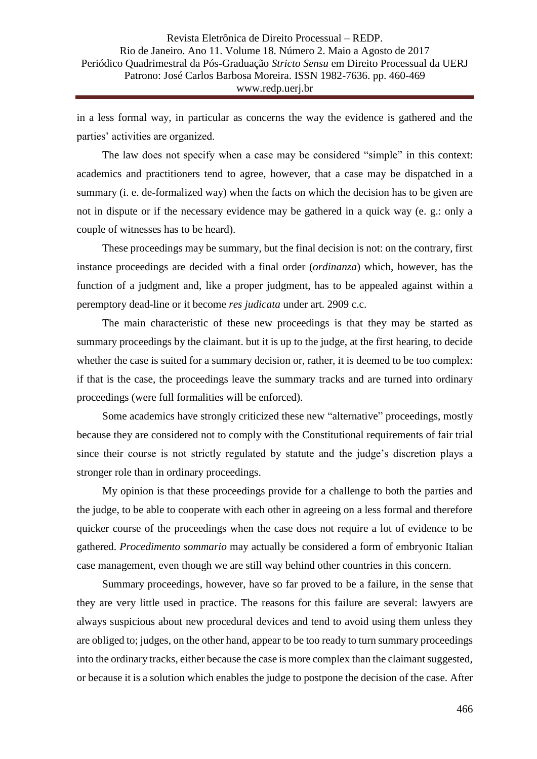in a less formal way, in particular as concerns the way the evidence is gathered and the parties' activities are organized.

The law does not specify when a case may be considered "simple" in this context: academics and practitioners tend to agree, however, that a case may be dispatched in a summary (i. e. de-formalized way) when the facts on which the decision has to be given are not in dispute or if the necessary evidence may be gathered in a quick way (e. g.: only a couple of witnesses has to be heard).

These proceedings may be summary, but the final decision is not: on the contrary, first instance proceedings are decided with a final order (*ordinanza*) which, however, has the function of a judgment and, like a proper judgment, has to be appealed against within a peremptory dead-line or it become *res judicata* under art. 2909 c.c.

The main characteristic of these new proceedings is that they may be started as summary proceedings by the claimant. but it is up to the judge, at the first hearing, to decide whether the case is suited for a summary decision or, rather, it is deemed to be too complex: if that is the case, the proceedings leave the summary tracks and are turned into ordinary proceedings (were full formalities will be enforced).

Some academics have strongly criticized these new "alternative" proceedings, mostly because they are considered not to comply with the Constitutional requirements of fair trial since their course is not strictly regulated by statute and the judge's discretion plays a stronger role than in ordinary proceedings.

My opinion is that these proceedings provide for a challenge to both the parties and the judge, to be able to cooperate with each other in agreeing on a less formal and therefore quicker course of the proceedings when the case does not require a lot of evidence to be gathered. *Procedimento sommario* may actually be considered a form of embryonic Italian case management, even though we are still way behind other countries in this concern.

Summary proceedings, however, have so far proved to be a failure, in the sense that they are very little used in practice. The reasons for this failure are several: lawyers are always suspicious about new procedural devices and tend to avoid using them unless they are obliged to; judges, on the other hand, appear to be too ready to turn summary proceedings into the ordinary tracks, either because the case is more complex than the claimant suggested, or because it is a solution which enables the judge to postpone the decision of the case. After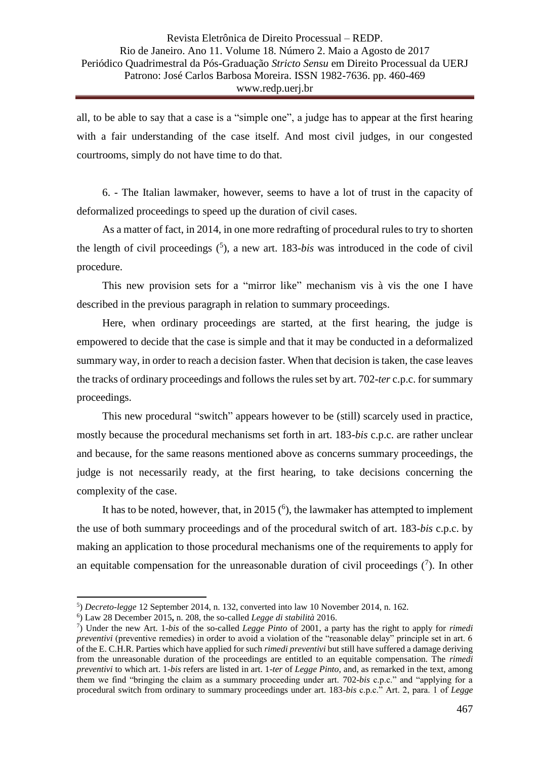all, to be able to say that a case is a "simple one", a judge has to appear at the first hearing with a fair understanding of the case itself. And most civil judges, in our congested courtrooms, simply do not have time to do that.

6. - The Italian lawmaker, however, seems to have a lot of trust in the capacity of deformalized proceedings to speed up the duration of civil cases.

As a matter of fact, in 2014, in one more redrafting of procedural rules to try to shorten the length of civil proceedings ( 5 ), a new art. 183-*bis* was introduced in the code of civil procedure.

This new provision sets for a "mirror like" mechanism vis à vis the one I have described in the previous paragraph in relation to summary proceedings.

Here, when ordinary proceedings are started, at the first hearing, the judge is empowered to decide that the case is simple and that it may be conducted in a deformalized summary way, in order to reach a decision faster. When that decision is taken, the case leaves the tracks of ordinary proceedings and follows the rules set by art. 702-*ter* c.p.c. for summary proceedings.

This new procedural "switch" appears however to be (still) scarcely used in practice, mostly because the procedural mechanisms set forth in art. 183-*bis* c.p.c. are rather unclear and because, for the same reasons mentioned above as concerns summary proceedings, the judge is not necessarily ready, at the first hearing, to take decisions concerning the complexity of the case.

It has to be noted, however, that, in 2015  $(6)$ , the lawmaker has attempted to implement the use of both summary proceedings and of the procedural switch of art. 183-*bis* c.p.c. by making an application to those procedural mechanisms one of the requirements to apply for an equitable compensation for the unreasonable duration of civil proceedings  $(7)$ . In other

**.** 

<sup>5</sup> ) *Decreto-legge* 12 September 2014, n. 132, converted into law 10 November 2014, n. 162.

<sup>6</sup> ) Law 28 December 2015**,** n. 208, the so-called *Legge di stabilità* 2016.

<sup>7</sup> ) Under the new Art. 1-*bis* of the so-called *Legge Pinto* of 2001, a party has the right to apply for *rimedi preventivi* (preventive remedies) in order to avoid a violation of the "reasonable delay" principle set in art. 6 of the E. C.H.R. Parties which have applied for such *rimedi preventivi* but still have suffered a damage deriving from the unreasonable duration of the proceedings are entitled to an equitable compensation. The *rimedi preventivi* to which art. 1-*bis* refers are listed in art. 1-*ter* of *Legge Pinto*, and, as remarked in the text, among them we find "bringing the claim as a summary proceeding under art. 702-*bis* c.p.c." and "applying for a procedural switch from ordinary to summary proceedings under art. 183-*bis* c.p.c." Art. 2, para. 1 of *Legge*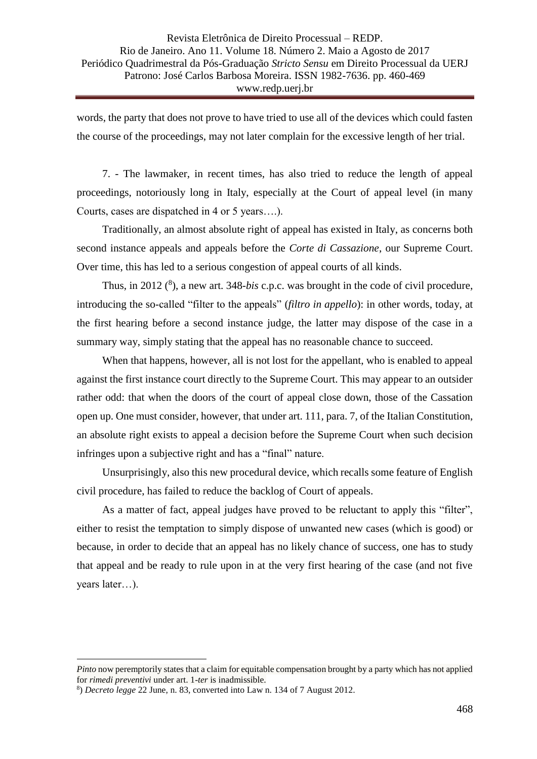words, the party that does not prove to have tried to use all of the devices which could fasten the course of the proceedings, may not later complain for the excessive length of her trial.

7. - The lawmaker, in recent times, has also tried to reduce the length of appeal proceedings, notoriously long in Italy, especially at the Court of appeal level (in many Courts, cases are dispatched in 4 or 5 years….).

Traditionally, an almost absolute right of appeal has existed in Italy, as concerns both second instance appeals and appeals before the *Corte di Cassazione*, our Supreme Court. Over time, this has led to a serious congestion of appeal courts of all kinds.

Thus, in 2012 (<sup>8</sup>), a new art. 348-*bis* c.p.c. was brought in the code of civil procedure, introducing the so-called "filter to the appeals" (*filtro in appello*): in other words, today, at the first hearing before a second instance judge, the latter may dispose of the case in a summary way, simply stating that the appeal has no reasonable chance to succeed.

When that happens, however, all is not lost for the appellant, who is enabled to appeal against the first instance court directly to the Supreme Court. This may appear to an outsider rather odd: that when the doors of the court of appeal close down, those of the Cassation open up. One must consider, however, that under art. 111, para. 7, of the Italian Constitution, an absolute right exists to appeal a decision before the Supreme Court when such decision infringes upon a subjective right and has a "final" nature.

Unsurprisingly, also this new procedural device, which recalls some feature of English civil procedure, has failed to reduce the backlog of Court of appeals.

As a matter of fact, appeal judges have proved to be reluctant to apply this "filter", either to resist the temptation to simply dispose of unwanted new cases (which is good) or because, in order to decide that an appeal has no likely chance of success, one has to study that appeal and be ready to rule upon in at the very first hearing of the case (and not five years later…).

**.** 

*Pinto* now peremptorily states that a claim for equitable compensation brought by a party which has not applied for *rimedi preventivi* under art. 1-*ter* is inadmissible.

<sup>8</sup> ) *Decreto legge* 22 June, n. 83, converted into Law n. 134 of 7 [August](http://www.altalex.com/documents/leggi/2012/08/13/decreto-sviluppo-il-testo-della-legge-di-conversione-pubblicato-in-gazzetta) 2012.